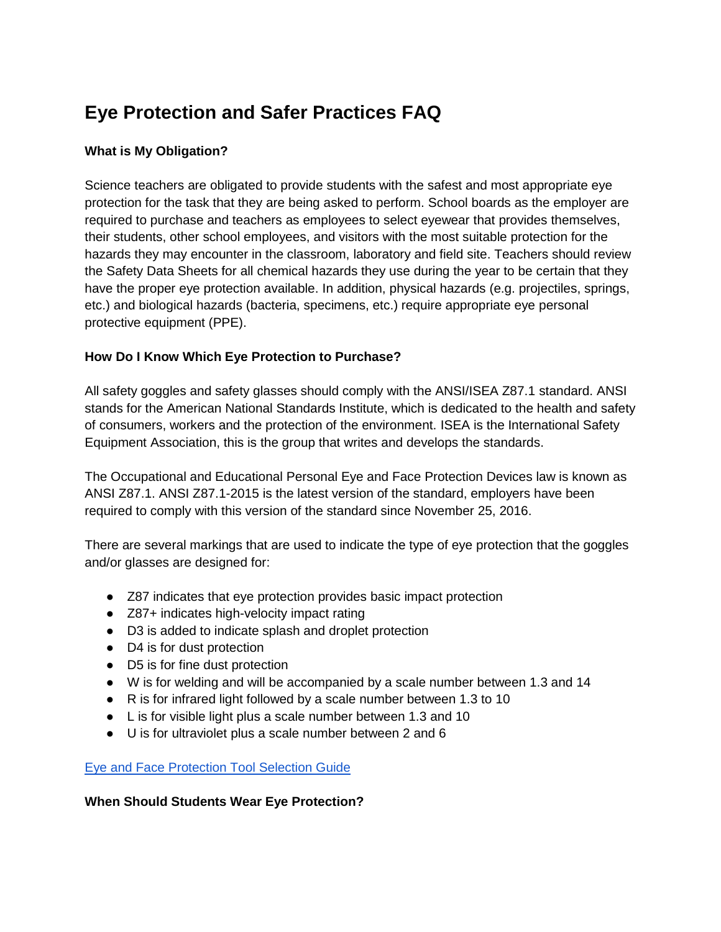# **Eye Protection and Safer Practices FAQ**

## **What is My Obligation?**

Science teachers are obligated to provide students with the safest and most appropriate eye protection for the task that they are being asked to perform. School boards as the employer are required to purchase and teachers as employees to select eyewear that provides themselves, their students, other school employees, and visitors with the most suitable protection for the hazards they may encounter in the classroom, laboratory and field site. Teachers should review the Safety Data Sheets for all chemical hazards they use during the year to be certain that they have the proper eye protection available. In addition, physical hazards (e.g. projectiles, springs, etc.) and biological hazards (bacteria, specimens, etc.) require appropriate eye personal protective equipment (PPE).

# **How Do I Know Which Eye Protection to Purchase?**

All safety goggles and safety glasses should comply with the ANSI/ISEA Z87.1 standard. ANSI stands for the American National Standards Institute, which is dedicated to the health and safety of consumers, workers and the protection of the environment. ISEA is the International Safety Equipment Association, this is the group that writes and develops the standards.

The Occupational and Educational Personal Eye and Face Protection Devices law is known as ANSI Z87.1. ANSI Z87.1-2015 is the latest version of the standard, employers have been required to comply with this version of the standard since November 25, 2016.

There are several markings that are used to indicate the type of eye protection that the goggles and/or glasses are designed for:

- Z87 indicates that eye protection provides basic impact protection
- Z87+ indicates high-velocity impact rating
- D3 is added to indicate splash and droplet protection
- D4 is for dust protection
- D5 is for fine dust protection
- W is for welding and will be accompanied by a scale number between 1.3 and 14
- R is for infrared light followed by a scale number between 1.3 to 10
- L is for visible light plus a scale number between 1.3 and 10
- U is for ultraviolet plus a scale number between 2 and 6

[Eye and Face Protection Tool Selection Guide](https://safetyequipment.org/wp-content/uploads/2015/06/Eye-and-Face-Selection-Guide-tool1.pdf)

#### **When Should Students Wear Eye Protection?**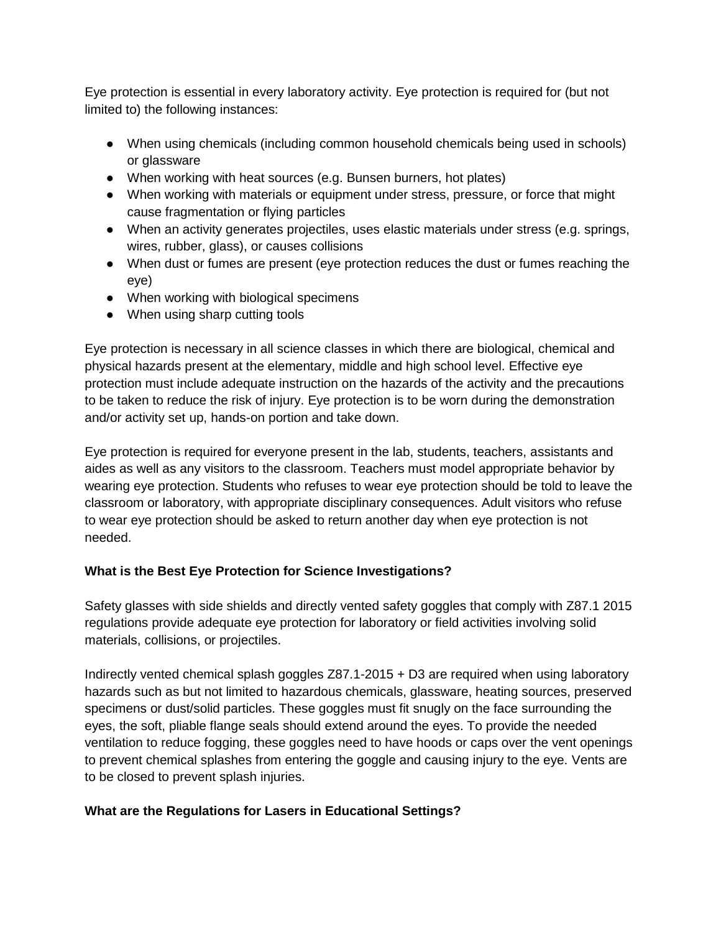Eye protection is essential in every laboratory activity. Eye protection is required for (but not limited to) the following instances:

- When using chemicals (including common household chemicals being used in schools) or glassware
- When working with heat sources (e.g. Bunsen burners, hot plates)
- When working with materials or equipment under stress, pressure, or force that might cause fragmentation or flying particles
- When an activity generates projectiles, uses elastic materials under stress (e.g. springs, wires, rubber, glass), or causes collisions
- When dust or fumes are present (eye protection reduces the dust or fumes reaching the eye)
- When working with biological specimens
- When using sharp cutting tools

Eye protection is necessary in all science classes in which there are biological, chemical and physical hazards present at the elementary, middle and high school level. Effective eye protection must include adequate instruction on the hazards of the activity and the precautions to be taken to reduce the risk of injury. Eye protection is to be worn during the demonstration and/or activity set up, hands-on portion and take down.

Eye protection is required for everyone present in the lab, students, teachers, assistants and aides as well as any visitors to the classroom. Teachers must model appropriate behavior by wearing eye protection. Students who refuses to wear eye protection should be told to leave the classroom or laboratory, with appropriate disciplinary consequences. Adult visitors who refuse to wear eye protection should be asked to return another day when eye protection is not needed.

#### **What is the Best Eye Protection for Science Investigations?**

Safety glasses with side shields and directly vented safety goggles that comply with Z87.1 2015 regulations provide adequate eye protection for laboratory or field activities involving solid materials, collisions, or projectiles.

Indirectly vented chemical splash goggles Z87.1-2015 + D3 are required when using laboratory hazards such as but not limited to hazardous chemicals, glassware, heating sources, preserved specimens or dust/solid particles. These goggles must fit snugly on the face surrounding the eyes, the soft, pliable flange seals should extend around the eyes. To provide the needed ventilation to reduce fogging, these goggles need to have hoods or caps over the vent openings to prevent chemical splashes from entering the goggle and causing injury to the eye. Vents are to be closed to prevent splash injuries.

#### **What are the Regulations for Lasers in Educational Settings?**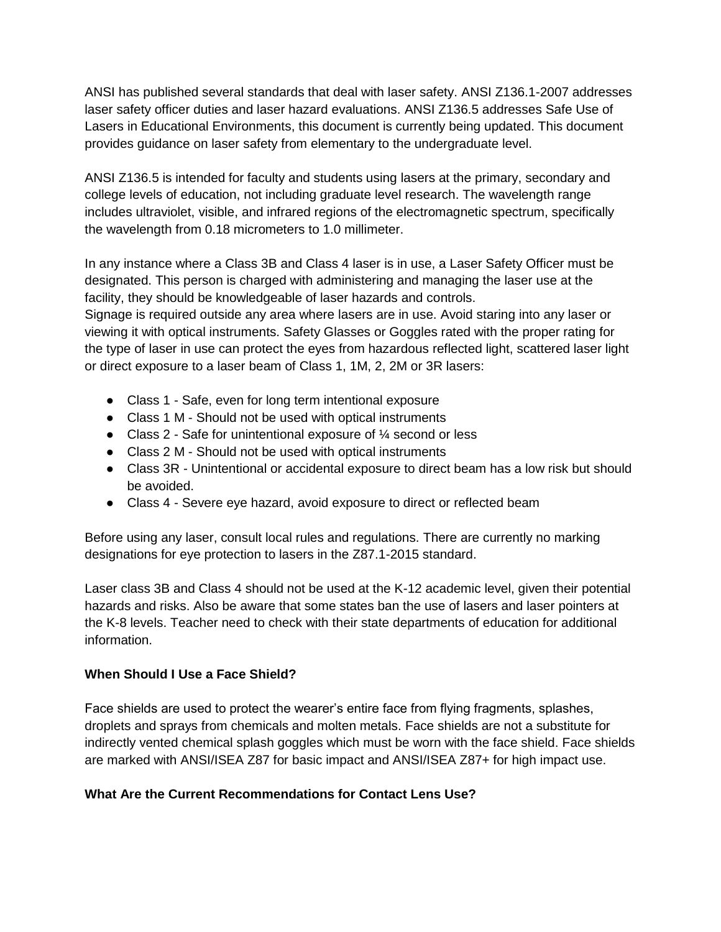ANSI has published several standards that deal with laser safety. ANSI Z136.1-2007 addresses laser safety officer duties and laser hazard evaluations. ANSI Z136.5 addresses Safe Use of Lasers in Educational Environments, this document is currently being updated. This document provides guidance on laser safety from elementary to the undergraduate level.

ANSI Z136.5 is intended for faculty and students using lasers at the primary, secondary and college levels of education, not including graduate level research. The wavelength range includes ultraviolet, visible, and infrared regions of the electromagnetic spectrum, specifically the wavelength from 0.18 micrometers to 1.0 millimeter.

In any instance where a Class 3B and Class 4 laser is in use, a Laser Safety Officer must be designated. This person is charged with administering and managing the laser use at the facility, they should be knowledgeable of laser hazards and controls.

Signage is required outside any area where lasers are in use. Avoid staring into any laser or viewing it with optical instruments. Safety Glasses or Goggles rated with the proper rating for the type of laser in use can protect the eyes from hazardous reflected light, scattered laser light or direct exposure to a laser beam of Class 1, 1M, 2, 2M or 3R lasers:

- Class 1 Safe, even for long term intentional exposure
- Class 1 M Should not be used with optical instruments
- Class 2 Safe for unintentional exposure of ¼ second or less
- Class 2 M Should not be used with optical instruments
- Class 3R Unintentional or accidental exposure to direct beam has a low risk but should be avoided.
- Class 4 Severe eye hazard, avoid exposure to direct or reflected beam

Before using any laser, consult local rules and regulations. There are currently no marking designations for eye protection to lasers in the Z87.1-2015 standard.

Laser class 3B and Class 4 should not be used at the K-12 academic level, given their potential hazards and risks. Also be aware that some states ban the use of lasers and laser pointers at the K-8 levels. Teacher need to check with their state departments of education for additional information.

#### **When Should I Use a Face Shield?**

Face shields are used to protect the wearer's entire face from flying fragments, splashes, droplets and sprays from chemicals and molten metals. Face shields are not a substitute for indirectly vented chemical splash goggles which must be worn with the face shield. Face shields are marked with ANSI/ISEA Z87 for basic impact and ANSI/ISEA Z87+ for high impact use.

#### **What Are the Current Recommendations for Contact Lens Use?**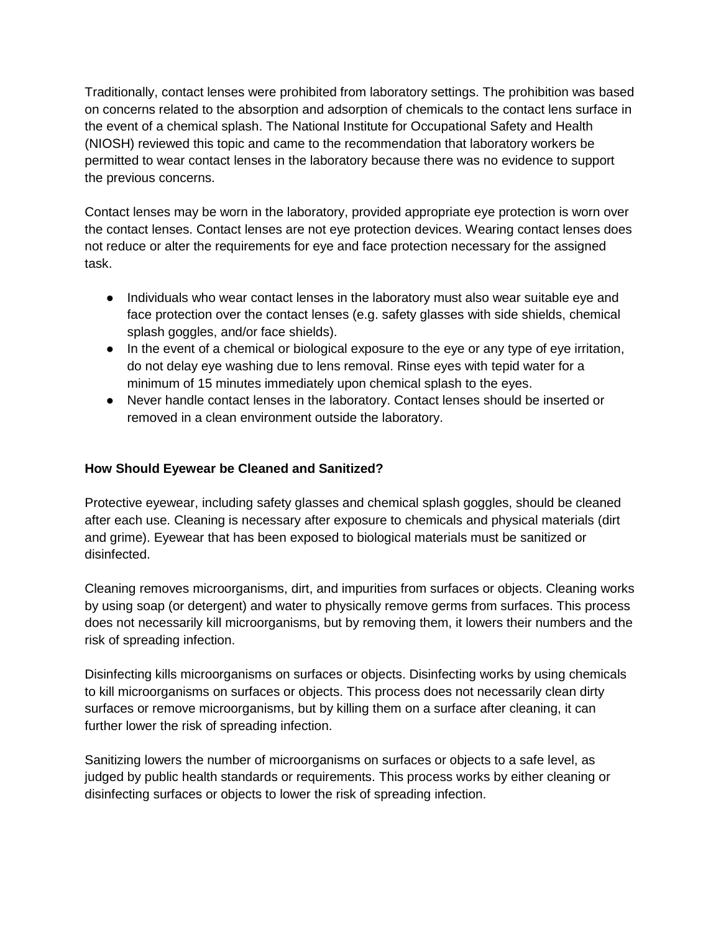Traditionally, contact lenses were prohibited from laboratory settings. The prohibition was based on concerns related to the absorption and adsorption of chemicals to the contact lens surface in the event of a chemical splash. The National Institute for Occupational Safety and Health (NIOSH) reviewed this topic and came to the recommendation that laboratory workers be permitted to wear contact lenses in the laboratory because there was no evidence to support the previous concerns.

Contact lenses may be worn in the laboratory, provided appropriate eye protection is worn over the contact lenses. Contact lenses are not eye protection devices. Wearing contact lenses does not reduce or alter the requirements for eye and face protection necessary for the assigned task.

- Individuals who wear contact lenses in the laboratory must also wear suitable eye and face protection over the contact lenses (e.g. safety glasses with side shields, chemical splash goggles, and/or face shields).
- In the event of a chemical or biological exposure to the eye or any type of eye irritation, do not delay eye washing due to lens removal. Rinse eyes with tepid water for a minimum of 15 minutes immediately upon chemical splash to the eyes.
- Never handle contact lenses in the laboratory. Contact lenses should be inserted or removed in a clean environment outside the laboratory.

## **How Should Eyewear be Cleaned and Sanitized?**

Protective eyewear, including safety glasses and chemical splash goggles, should be cleaned after each use. Cleaning is necessary after exposure to chemicals and physical materials (dirt and grime). Eyewear that has been exposed to biological materials must be sanitized or disinfected.

Cleaning removes microorganisms, dirt, and impurities from surfaces or objects. Cleaning works by using soap (or detergent) and water to physically remove germs from surfaces. This process does not necessarily kill microorganisms, but by removing them, it lowers their numbers and the risk of spreading infection.

Disinfecting kills microorganisms on surfaces or objects. Disinfecting works by using chemicals to kill microorganisms on surfaces or objects. This process does not necessarily clean dirty surfaces or remove microorganisms, but by killing them on a surface after cleaning, it can further lower the risk of spreading infection.

Sanitizing lowers the number of microorganisms on surfaces or objects to a safe level, as judged by public health standards or requirements. This process works by either cleaning or disinfecting surfaces or objects to lower the risk of spreading infection.